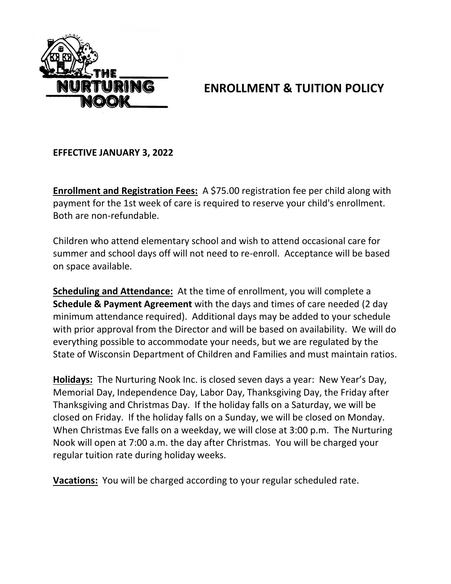

## **ENROLLMENT & TUITION POLICY**

**EFFECTIVE JANUARY 3, 2022**

**Enrollment and Registration Fees:** A \$75.00 registration fee per child along with payment for the 1st week of care is required to reserve your child's enrollment. Both are non-refundable.

Children who attend elementary school and wish to attend occasional care for summer and school days off will not need to re-enroll. Acceptance will be based on space available.

**Scheduling and Attendance:** At the time of enrollment, you will complete a **Schedule & Payment Agreement** with the days and times of care needed (2 day minimum attendance required). Additional days may be added to your schedule with prior approval from the Director and will be based on availability. We will do everything possible to accommodate your needs, but we are regulated by the State of Wisconsin Department of Children and Families and must maintain ratios.

**Holidays:** The Nurturing Nook Inc. is closed seven days a year: New Year's Day, Memorial Day, Independence Day, Labor Day, Thanksgiving Day, the Friday after Thanksgiving and Christmas Day. If the holiday falls on a Saturday, we will be closed on Friday. If the holiday falls on a Sunday, we will be closed on Monday. When Christmas Eve falls on a weekday, we will close at 3:00 p.m. The Nurturing Nook will open at 7:00 a.m. the day after Christmas. You will be charged your regular tuition rate during holiday weeks.

**Vacations:** You will be charged according to your regular scheduled rate.